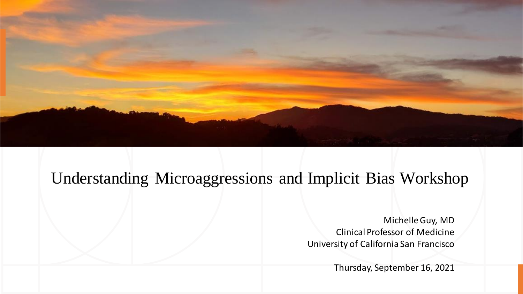

### Understanding Microaggressions and Implicit Bias Workshop

Michelle Guy, MD Clinical Professor of Medicine University of California San Francisco

Thursday, September 16, 2021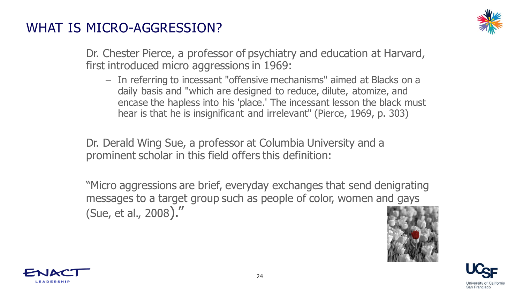#### WHAT IS MICRO-AGGRESSION?



Dr. Chester Pierce, a professor of psychiatry and education at Harvard, first introduced micro aggressions in 1969:

– In referring to incessant "offensive mechanisms" aimed at Blacks on a daily basis and "which are designed to reduce, dilute, atomize, and encase the hapless into his 'place.' The incessant lesson the black must hear is that he is insignificant and irrelevant" (Pierce, 1969, p. 303)

Dr. Derald Wing Sue, a professor at Columbia University and a prominent scholar in this field offers this definition:

"Micro aggressions are brief, everyday exchanges that send denigrating messages to a target group such as people of color, women and gays (Sue, et al., 2008)."





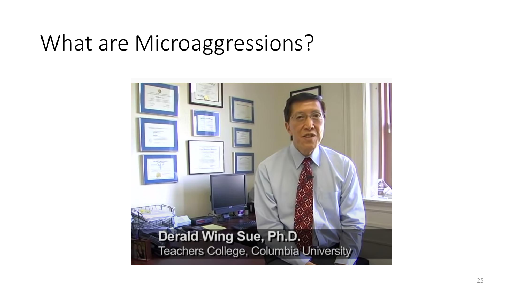# What are Microaggressions?

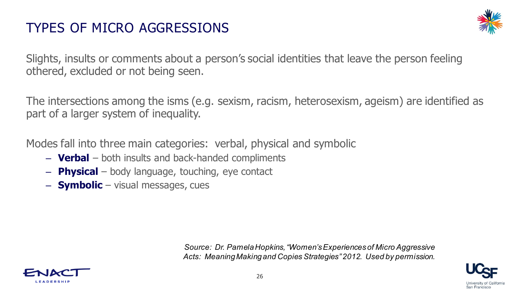#### TYPES OF MICRO AGGRESSIONS



Slights, insults or comments about a person's social identities that leave the person feeling othered, excluded or not being seen.

The intersections among the isms (e.g. sexism, racism, heterosexism, ageism) are identified as part of a larger system of inequality.

Modes fall into three main categories: verbal, physical and symbolic

- **Verbal** both insults and back-handed compliments
- **Physical** body language, touching, eye contact
- **Symbolic** visual messages, cues

*Source: Dr. Pamela Hopkins, "Women's Experiences of Micro Aggressive Acts: Meaning Making and Copies Strategies" 2012. Used by permission.*



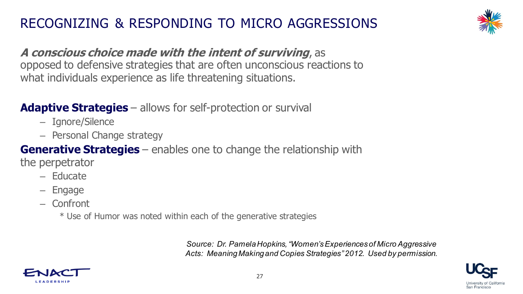### RECOGNIZING & RESPONDING TO MICRO AGGRESSIONS



#### **A conscious choice made with the intent of surviving**, as opposed to defensive strategies that are often unconscious reactions to what individuals experience as life threatening situations.

#### **Adaptive Strategies** – allows for self-protection or survival

- Ignore/Silence
- Personal Change strategy

**Generative Strategies** – enables one to change the relationship with the perpetrator

- Educate
- Engage
- Confront
	- \* Use of Humor was noted within each of the generative strategies

*Source: Dr. Pamela Hopkins, "Women's Experiences of Micro Aggressive Acts: Meaning Making and Copies Strategies" 2012. Used by permission.*



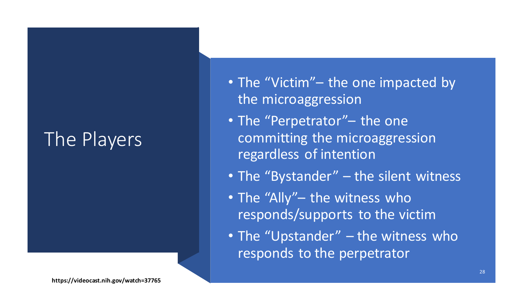### The Players

- The "Victim" the one impacted by the microaggression
- The "Perpetrator"– the one committing the microaggression regardless of intention
- The "Bystander" the silent witness
- The "Ally"- the witness who responds/supports to the victim
- The "Upstander" the witness who responds to the perpetrator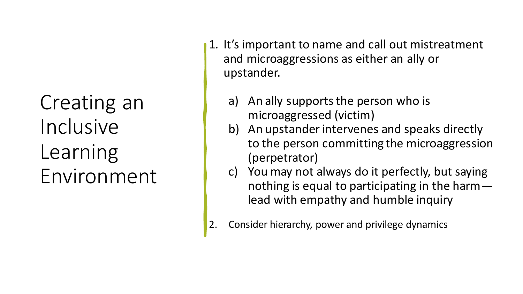Creating an Inclusive Learning Environment

- 1. It's important to name and call out mistreatment and microaggressions as either an ally or upstander.
	- a) An ally supports the person who is microaggressed (victim)
	- b) An upstander intervenes and speaks directly to the person committing the microaggression (perpetrator)
	- c) You may not always do it perfectly, but saying nothing is equal to participating in the harm lead with empathy and humble inquiry
- 2. Consider hierarchy, power and privilege dynamics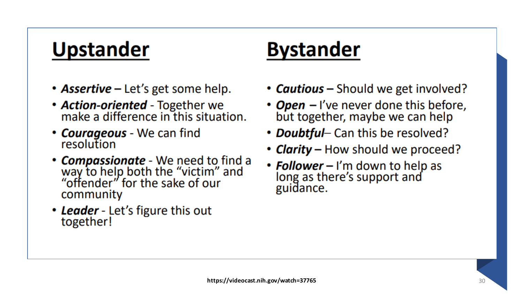### **Upstander**

- **Assertive** Let's get some help.
- Action-oriented Together we make a difference in this situation.
- Courageous We can find resolution
- **Compassionate** We need to find a<br>way to help both the "victim" and<br>"offender" for the sake of our community
- Leader Let's figure this out together!

### **Bystander**

- **Cautious** Should we get involved?
- *Open* I've never done this before, but together, maybe we can help
- **Doubtful** Can this be resolved?
- **Clarity** How should we proceed?
- **Follower** I'm down to help as long as there's support and guidance.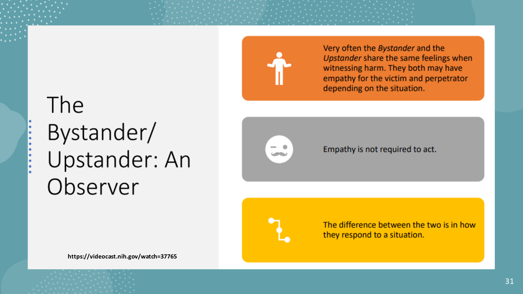

Very often the Bystander and the Upstander share the same feelings when witnessing harm. They both may have empathy for the victim and perpetrator depending on the situation.

# The Bystander/ Upstander: An Observer



Empathy is not required to act.

The difference between the two is in how they respond to a situation.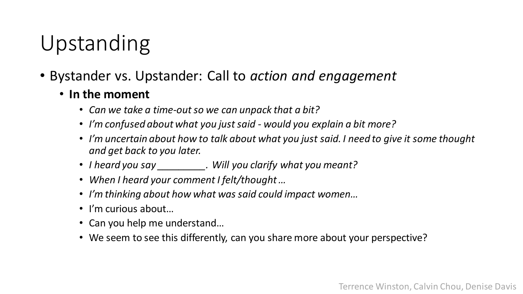## Upstanding

- Bystander vs. Upstander: Call to *action and engagement*
	- **In the moment**
		- *Can we take a time-out so we can unpack that a bit?*
		- *I'm confused about what you just said - would you explain a bit more?*
		- *I'm uncertain about how to talk about what you just said. I need to give it some thought and get back to you later.*
		- *I heard you say \_\_\_\_\_\_\_\_\_. Will you clarify what you meant?*
		- *When I heard your comment I felt/thought …*
		- *I'm thinking about how what was said could impact women…*
		- I'm curious about…
		- Can you help me understand…
		- We seem to see this differently, can you share more about your perspective?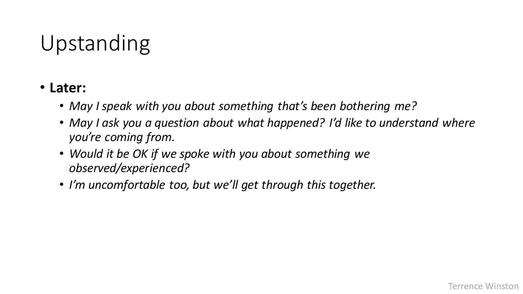# Upstanding

#### • **Later:**

- *May I speak with you about something that's been bothering me?*
- *May I ask you a question about what happened? I'd like to understand where you're coming from.*
- *Would it be OK if we spoke with you about something we observed/experienced?*
- *I'm uncomfortable too, but we'll get through this together.*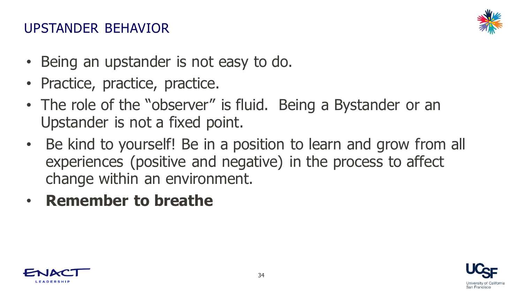#### UPSTANDER BEHAVIOR



- Being an upstander is not easy to do.
- Practice, practice, practice.
- The role of the "observer" is fluid. Being a Bystander or an Upstander is not a fixed point.
- Be kind to yourself! Be in a position to learn and grow from all experiences (positive and negative) in the process to affect change within an environment.
- **Remember to breathe**



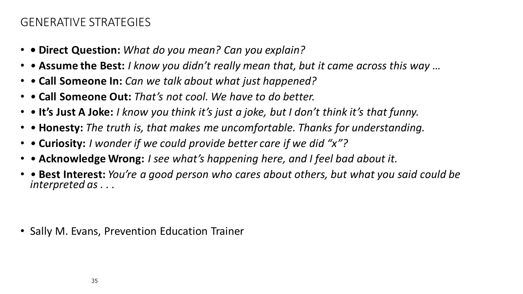#### GENERATIVE STRATEGIES

- **Direct Question:** *What do you mean? Can you explain?*
- **Assume the Best:** *I know you didn't really mean that, but it came across this way …*
- **Call Someone In:** *Can we talk about what just happened?*
- **Call Someone Out:** *That's not cool. We have to do better.*
- **It's Just A Joke:** *I know you think it's just a joke, but I don't think it's that funny.*
- *•* **Honesty:** *The truth is, that makes me uncomfortable. Thanks for understanding.*
- **Curiosity:** *I wonder if we could provide better care if we did "x"?*
- **Acknowledge Wrong:** *I see what's happening here, and I feel bad about it.*
- **Best Interest:** *You're a good person who cares about others, but what you said could be interpreted as . . .*

• Sally M. Evans, Prevention Education Trainer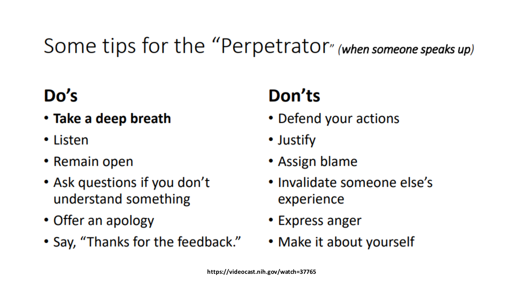# Some tips for the "Perpetrator" (when someone speaks up)

### Do's

- Take a deep breath
- Listen
- Remain open
- Ask questions if you don't understand something
- Offer an apology
- Say, "Thanks for the feedback."

# Don'ts

- Defend your actions
- Justify
- Assign blame
- Invalidate someone else's experience
- Express anger
- Make it about yourself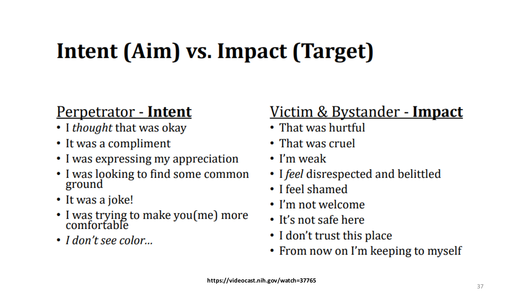# Intent (Aim) vs. Impact (Target)

### <u>Perpetrator - Intent</u>

- I thought that was okay
- It was a compliment
- I was expressing my appreciation
- I was looking to find some common ground
- It was a joke!
- I was trying to make you (me) more<br>comfortable
- I don't see color...

### <u> Victim & Bystander - Impact</u>

- $\cdot$  That was hurtful
- That was cruel
- $\cdot$  I'm weak
- I feel disrespected and belittled
- I feel shamed
- $\cdot$  I'm not welcome
- $\cdot$  It's not safe here
- I don't trust this place
- From now on I'm keeping to myself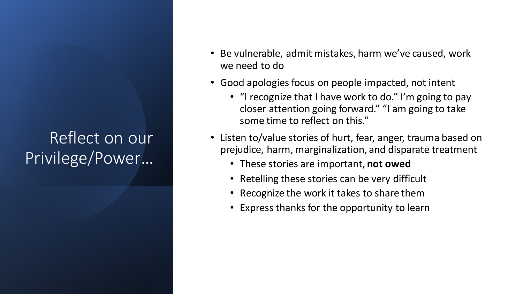### Reflect on our Privilege/Power…

- Be vulnerable, admit mistakes, harm we've caused, work we need to do
- Good apologies focus on people impacted, not intent
	- "I recognize that I have work to do." I'm going to pay closer attention going forward." "I am going to take some time to reflect on this."
- Listen to/value stories of hurt, fear, anger, trauma based on prejudice, harm, marginalization, and disparate treatment
	- These stories are important, **not owed**
	- Retelling these stories can be very difficult
	- Recognize the work it takes to share them
	- Express thanks for the opportunity to learn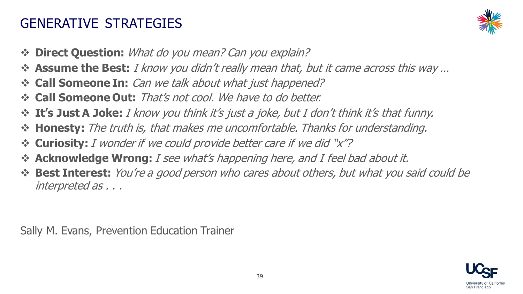#### GENERATIVE STRATEGIES



- ❖ **Direct Question:** What do you mean? Can you explain?
- ❖ **Assume the Best:** I know you didn't really mean that, but it came across this way …
- ❖ **Call Someone In:** Can we talk about what just happened?
- ❖ **Call Someone Out:** That's not cool. We have to do better.
- ❖ **It's Just A Joke:** I know you think it's just a joke, but I don't think it's that funny.
- ❖ **Honesty:** The truth is, that makes me uncomfortable. Thanks for understanding.
- ❖ **Curiosity:** I wonder if we could provide better care if we did "x"?
- ❖ **Acknowledge Wrong:** I see what's happening here, and I feel bad about it.
- ❖ **Best Interest:** You're a good person who cares about others, but what you said could be interpreted as . . .

Sally M. Evans, Prevention Education Trainer

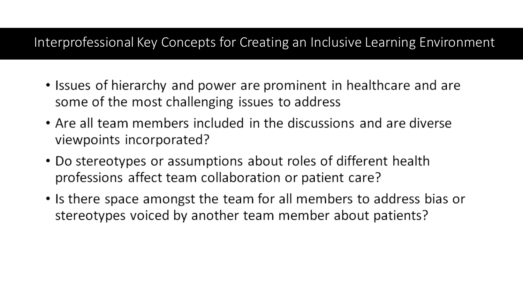#### Interprofessional Key Concepts for Creating an Inclusive Learning Environment

- Issues of hierarchy and power are prominent in healthcare and are some of the most challenging issues to address
- Are all team members included in the discussions and are diverse viewpoints incorporated?
- Do stereotypes or assumptions about roles of different health professions affect team collaboration or patient care?
- Is there space amongst the team for all members to address bias or stereotypes voiced by another team member about patients?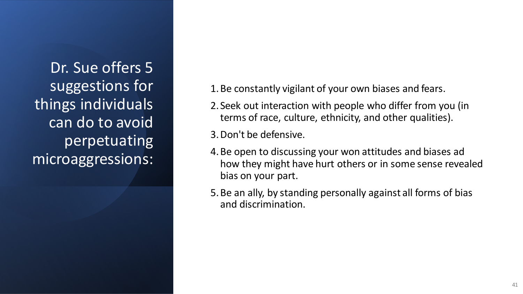Dr. Sue offers 5 suggestions for things individuals can do to avoid perpetuating microaggressions:

- 1.Be constantly vigilant of your own biases and fears.
- 2. Seek out interaction with people who differ from you (in terms of race, culture, ethnicity, and other qualities).
- 3.Don't be defensive.
- 4.Be open to discussing your won attitudes and biases ad how they might have hurt others or in some sense revealed bias on your part.
- 5.Be an ally, by standing personally against all forms of bias and discrimination.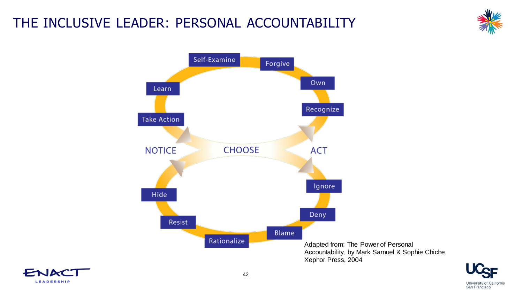### THE INCLUSIVE LEADER: PERSONAL ACCOUNTABILITY







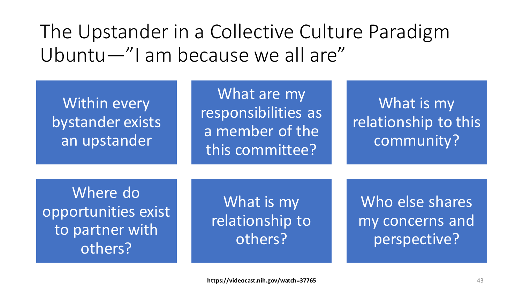The Upstander in a Collective Culture Paradigm Ubuntu—"I am because we all are"

Within every bystander exists an upstander

What are my responsibilities as a member of the this committee?

What is my relationship to this community?

Where do opportunities exist to partner with others?

What is my relationship to others?

Who else shares my concerns and perspective?